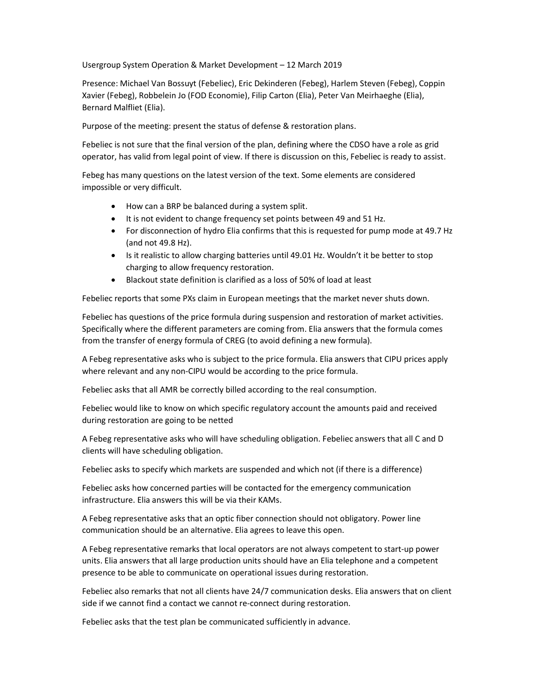Usergroup System Operation & Market Development – 12 March 2019

Presence: Michael Van Bossuyt (Febeliec), Eric Dekinderen (Febeg), Harlem Steven (Febeg), Coppin Xavier (Febeg), Robbelein Jo (FOD Economie), Filip Carton (Elia), Peter Van Meirhaeghe (Elia), Bernard Malfliet (Elia).

Purpose of the meeting: present the status of defense & restoration plans.

Febeliec is not sure that the final version of the plan, defining where the CDSO have a role as grid operator, has valid from legal point of view. If there is discussion on this, Febeliec is ready to assist.

Febeg has many questions on the latest version of the text. Some elements are considered impossible or very difficult.

- How can a BRP be balanced during a system split.
- It is not evident to change frequency set points between 49 and 51 Hz.
- For disconnection of hydro Elia confirms that this is requested for pump mode at 49.7 Hz (and not 49.8 Hz).
- Is it realistic to allow charging batteries until 49.01 Hz. Wouldn't it be better to stop charging to allow frequency restoration.
- Blackout state definition is clarified as a loss of 50% of load at least

Febeliec reports that some PXs claim in European meetings that the market never shuts down.

Febeliec has questions of the price formula during suspension and restoration of market activities. Specifically where the different parameters are coming from. Elia answers that the formula comes from the transfer of energy formula of CREG (to avoid defining a new formula).

A Febeg representative asks who is subject to the price formula. Elia answers that CIPU prices apply where relevant and any non-CIPU would be according to the price formula.

Febeliec asks that all AMR be correctly billed according to the real consumption.

Febeliec would like to know on which specific regulatory account the amounts paid and received during restoration are going to be netted

A Febeg representative asks who will have scheduling obligation. Febeliec answers that all C and D clients will have scheduling obligation.

Febeliec asks to specify which markets are suspended and which not (if there is a difference)

Febeliec asks how concerned parties will be contacted for the emergency communication infrastructure. Elia answers this will be via their KAMs.

A Febeg representative asks that an optic fiber connection should not obligatory. Power line communication should be an alternative. Elia agrees to leave this open.

A Febeg representative remarks that local operators are not always competent to start-up power units. Elia answers that all large production units should have an Elia telephone and a competent presence to be able to communicate on operational issues during restoration.

Febeliec also remarks that not all clients have 24/7 communication desks. Elia answers that on client side if we cannot find a contact we cannot re-connect during restoration.

Febeliec asks that the test plan be communicated sufficiently in advance.